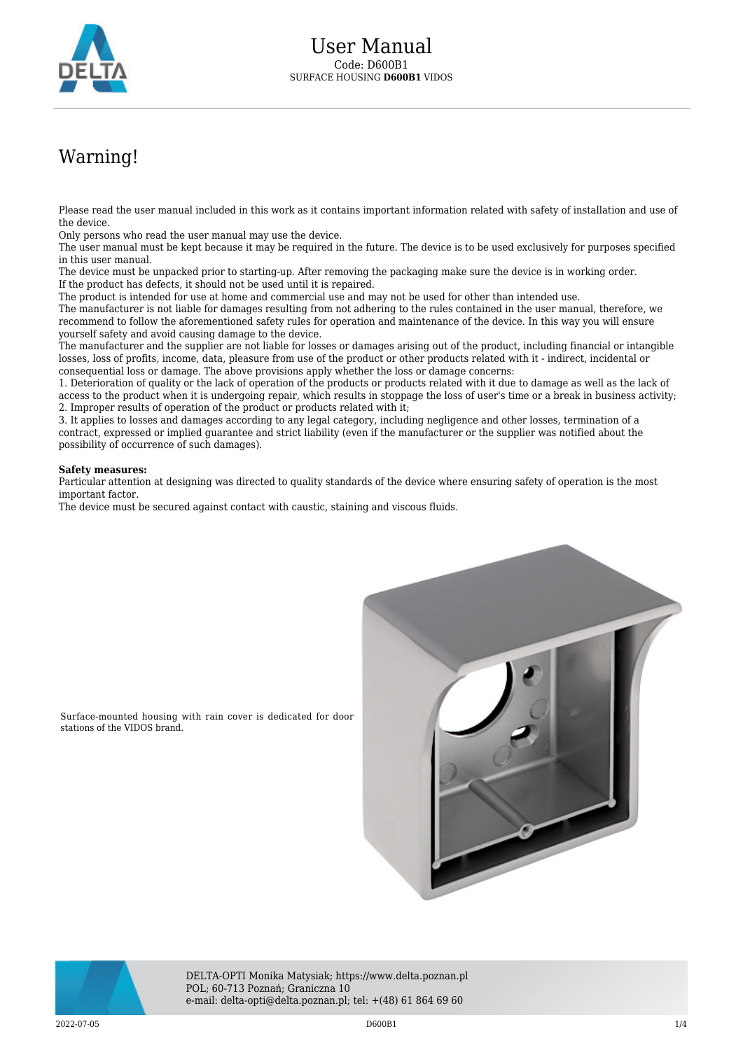

## Warning!

Please read the user manual included in this work as it contains important information related with safety of installation and use of the device.

Only persons who read the user manual may use the device.

The user manual must be kept because it may be required in the future. The device is to be used exclusively for purposes specified in this user manual.

The device must be unpacked prior to starting-up. After removing the packaging make sure the device is in working order. If the product has defects, it should not be used until it is repaired.

The product is intended for use at home and commercial use and may not be used for other than intended use.

The manufacturer is not liable for damages resulting from not adhering to the rules contained in the user manual, therefore, we recommend to follow the aforementioned safety rules for operation and maintenance of the device. In this way you will ensure yourself safety and avoid causing damage to the device.

The manufacturer and the supplier are not liable for losses or damages arising out of the product, including financial or intangible losses, loss of profits, income, data, pleasure from use of the product or other products related with it - indirect, incidental or consequential loss or damage. The above provisions apply whether the loss or damage concerns:

1. Deterioration of quality or the lack of operation of the products or products related with it due to damage as well as the lack of access to the product when it is undergoing repair, which results in stoppage the loss of user's time or a break in business activity; 2. Improper results of operation of the product or products related with it;

3. It applies to losses and damages according to any legal category, including negligence and other losses, termination of a contract, expressed or implied guarantee and strict liability (even if the manufacturer or the supplier was notified about the possibility of occurrence of such damages).

## **Safety measures:**

Particular attention at designing was directed to quality standards of the device where ensuring safety of operation is the most important factor.

The device must be secured against contact with caustic, staining and viscous fluids.



Surface-mounted housing with rain cover is dedicated for door stations of the VIDOS brand.



DELTA-OPTI Monika Matysiak; https://www.delta.poznan.pl POL; 60-713 Poznań; Graniczna 10 e-mail: delta-opti@delta.poznan.pl; tel: +(48) 61 864 69 60

 $2022$ -07-05  $1/4$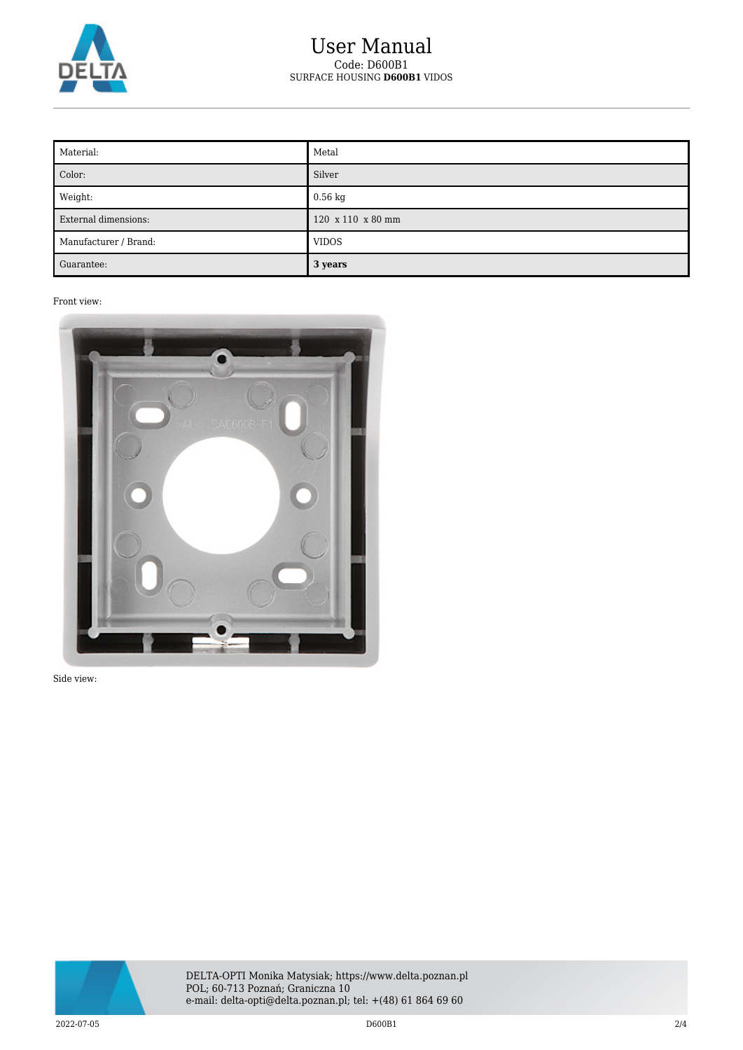

## User Manual Code: D600B1 SURFACE HOUSING **D600B1** VIDOS

| Material:             | Metal             |
|-----------------------|-------------------|
| Color:                | Silver            |
| Weight:               | $0.56 \text{ kg}$ |
| External dimensions:  | 120 x 110 x 80 mm |
| Manufacturer / Brand: | <b>VIDOS</b>      |
| Guarantee:            | 3 years           |

Front view:



Side view:

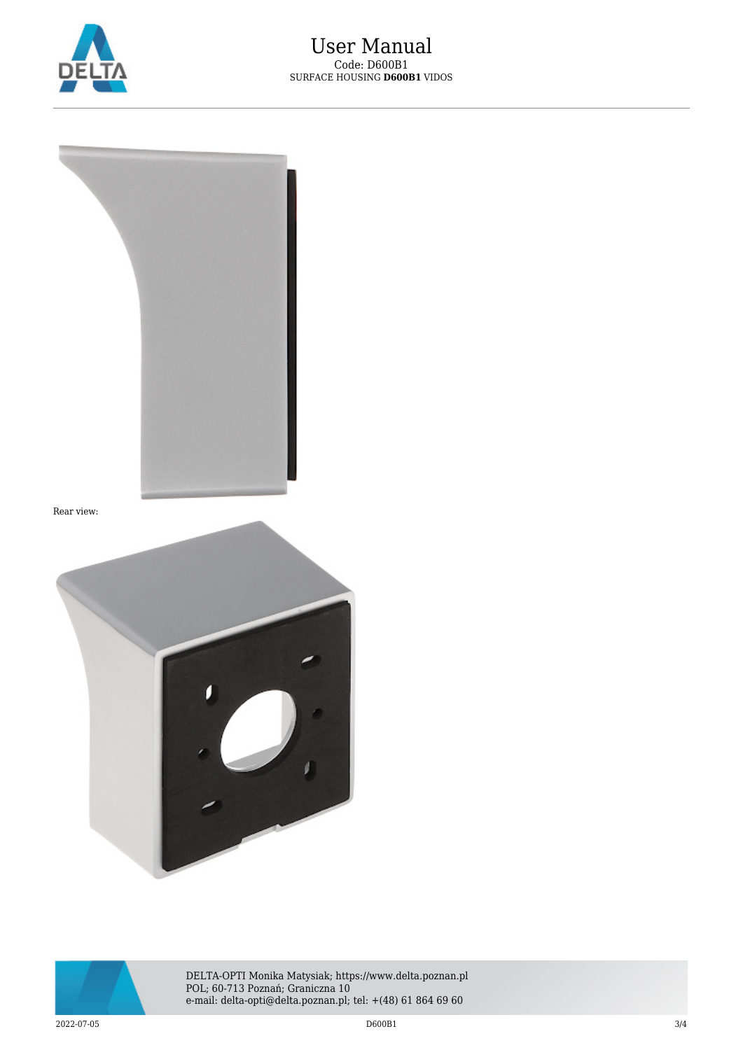